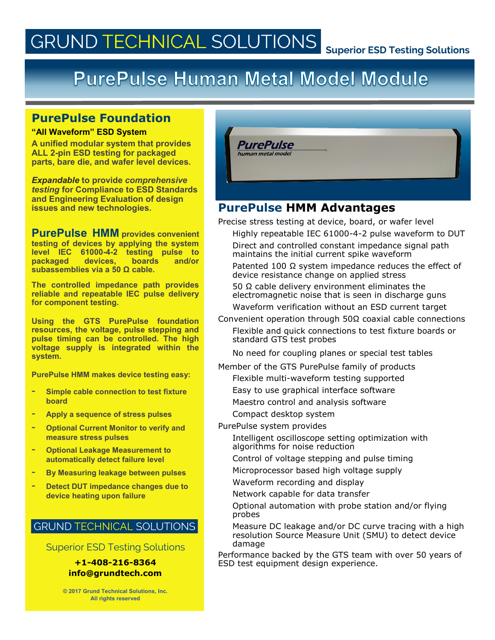# **GRUND TECHNICAL SOLUTIONS**

# **PurePulse Human Metal Model Module**

## **PurePulse Foundation**

#### **"All Waveform" ESD System**

**A unified modular system that provides ALL 2-pin ESD testing for packaged parts, bare die, and wafer level devices.**

*Expandable* **to provide** *comprehensive testing* **for Compliance to ESD Standards and Engineering Evaluation of design issues and new technologies.**

**PurePulse HMM provides convenient testing of devices by applying the system level IEC 61000-4-2 testing pulse to packaged devices, boards and/or subassemblies via a 50 Ω cable.** 

**The controlled impedance path provides reliable and repeatable IEC pulse delivery for component testing.**

**Using the GTS PurePulse foundation resources, the voltage, pulse stepping and pulse timing can be controlled. The high voltage supply is integrated within the system.**

**PurePulse HMM makes device testing easy:**

- **Simple cable connection to test fixture board**
- **Apply a sequence of stress pulses**
- **Optional Current Monitor to verify and measure stress pulses**
- **Optional Leakage Measurement to automatically detect failure level**
- **By Measuring leakage between pulses**
- **Detect DUT impedance changes due to device heating upon failure**

### **GRUND TECHNICAL SOLUTIONS**

Superior ESD Testing Solutions

# **info@grundtech.com**

**© 2017 Grund Technical Solutions, Inc. All rights reserved**



## **PurePulse HMM Advantages**

Precise stress testing at device, board, or wafer level Highly repeatable IEC 61000-4-2 pulse waveform to DUT

Direct and controlled constant impedance signal path maintains the initial current spike waveform

Patented 100 Ω system impedance reduces the effect of device resistance change on applied stress

50  $Ω$  cable delivery environment eliminates the electromagnetic noise that is seen in discharge guns

Waveform verification without an ESD current target

Convenient operation through 50Ω coaxial cable connections

Flexible and quick connections to test fixture boards or standard GTS test probes

No need for coupling planes or special test tables

Member of the GTS PurePulse family of products

Flexible multi-waveform testing supported

Easy to use graphical interface software

Maestro control and analysis software Compact desktop system

PurePulse system provides

Intelligent oscilloscope setting optimization with algorithms for noise reduction

Control of voltage stepping and pulse timing

Microprocessor based high voltage supply

Waveform recording and display

Network capable for data transfer

Optional automation with probe station and/or flying probes

Measure DC leakage and/or DC curve tracing with a high resolution Source Measure Unit (SMU) to detect device damage

Performance backed by the GTS team with over 50 years of **+1-408-216-8364** ESD test equipment design experience.